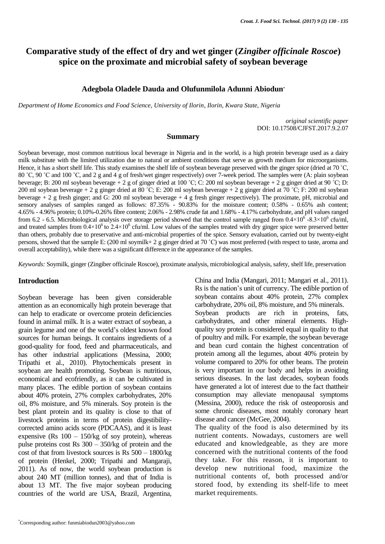# **Comparative study of the effect of dry and wet ginger (Z***ingiber officinale Roscoe***) spice on the proximate and microbial safety of soybean beverage**

#### **Adegbola Oladele Dauda and Olufunmilola Adunni Abiodun\***

*Department of Home Economics and Food Science, University of Ilorin, Ilorin, Kwara State, Nigeria*

*original scientific paper* DOI: 10.17508/CJFST.2017.9.2.07

#### **Summary**

Soybean beverage, most common nutritious local beverage in Nigeria and in the world, is a high protein beverage used as a dairy milk substitute with the limited utilization due to natural or ambient conditions that serve as growth medium for microorganisms. Hence, it has a short shelf life. This study examines the shelf life of soybean beverage preserved with the ginger spice (dried at 70 °C, 80 ˚C, 90 ˚C and 100 ˚C, and 2 g and 4 g of fresh/wet ginger respectively) over 7-week period. The samples were (A: plain soybean beverage; B: 200 ml soybean beverage + 2 g of ginger dried at 100 ˚C; C: 200 ml soybean beverage + 2 g ginger dried at 90 ˚C; D: 200 ml soybean beverage + 2 g ginger dried at 80 ˚C; E: 200 ml soybean beverage + 2 g ginger dried at 70 ˚C; F: 200 ml soybean beverage + 2 g fresh ginger; and G: 200 ml soybean beverage + 4 g fresh ginger respectively). The proximate, pH, microbial and sensory analyses of samples ranged as follows: 87.35% - 90.83% for the moisture content; 0.58% - 0.65% ash content; 4.65% - 4.96% protein; 0.10%-0.26% fibre content; 2.06% - 2.98% crude fat and 1.68% - 4.17% carbohydrate, and pH values ranged from 6.2 - 6.5. Microbiological analysis over storage period showed that the control sample ranged from  $0.4\times10^6$  -8.3 $\times10^6$  cfu/ml, and treated samples from  $0.4 \times 10^6$  to  $2.4 \times 10^6$  cfu/ml. Low values of the samples treated with dry ginger spice were preserved better than others, probably due to preservative and anti-microbial properties of the spice. Sensory evaluation, carried out by twenty-eight persons, showed that the sample E: (200 ml soymilk+ 2 g ginger dried at 70 ˚C) was most preferred (with respect to taste, aroma and overall acceptability), while there was a significant difference in the appearance of the samples.

*Keywords:* Soymilk, ginger (Zingiber officinale Roscoe), proximate analysis, microbiological analysis, safety, shelf life, preservation

#### **Introduction**

Soybean beverage has been given considerable attention as an economically high protein beverage that can help to eradicate or overcome protein deficiencies found in animal milk. It is a water extract of soybean, a grain legume and one of the world's oldest known food sources for human beings. It contains ingredients of a good-quality for food, feed and pharmaceuticals, and has other industrial applications (Messina, 2000; Tripathi et al., 2010). Phytochemicals present in soybean are health promoting. Soybean is nutritious, economical and ecofriendly, as it can be cultivated in many places. The edible portion of soybean contains about 40% protein, 27% complex carbohydrates, 20% oil, 8% moisture, and 5% minerals. Soy protein is the best plant protein and its quality is close to that of livestock proteins in terms of protein digestibilitycorrected amino acids score (PDCAAS), and it is least expensive (Rs  $100 - 150$ /kg of soy protein), whereas pulse proteins cost Rs 300 – 350/kg of protein and the cost of that from livestock sources is Rs 500 – 1800/kg of protein (Henkel, 2000; Tripathi and Mangaraji, 2011). As of now, the world soybean production is about 240 MT (million tonnes), and that of India is about 13 MT. The five major soybean producing countries of the world are USA, Brazil, Argentina,

China and India (Mangari, 2011; Mangari et al., 2011). Rs is the nation's unit of currency. The edible portion of soybean contains about 40% protein, 27% complex carbohydrate, 20% oil, 8% moisture, and 5% minerals. Soybean products are rich in proteins, fats, carbohydrates, and other mineral elements. Highquality soy protein is considered equal in quality to that of poultry and milk. For example, the soybean beverage and bean curd contain the highest concentration of protein among all the legumes, about 40% protein by volume compared to 20% for other beans. The protein is very important in our body and helps in avoiding serious diseases. In the last decades, soybean foods have generated a lot of interest due to the fact thattheir consumption may alleviate menopausal symptoms (Messina, 2000), reduce the risk of osteoporosis and some chronic diseases, most notably coronary heart disease and cancer (McGee, 2004).

The quality of the food is also determined by its nutrient contents. Nowadays, customers are well educated and knowledgeable, as they are more concerned with the nutritional contents of the food they take. For this reason, it is important to develop new nutritional food, maximize the nutritional contents of, both processed and/or stored food, by extending its shelf-life to meet market requirements.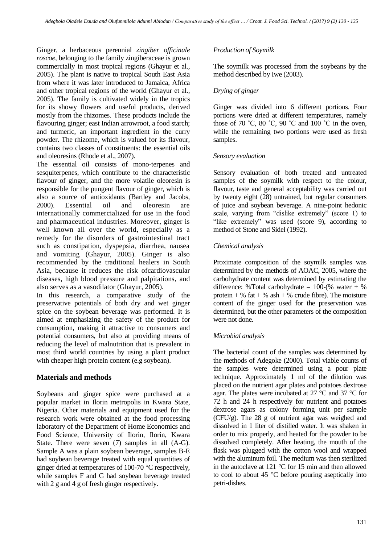Ginger, a herbaceous perennial *zingiber officinale roscoe*, belonging to the family zingiberaceae is grown commercially in most tropical regions (Ghayur et al., 2005). The plant is native to tropical South East Asia from where it was later introduced to Jamaica, Africa and other tropical regions of the world (Ghayur et al., 2005). The family is cultivated widely in the tropics for its showy flowers and useful products, derived mostly from the rhizomes. These products include the flavouring ginger; east Indian arrowroot, a food starch; and turmeric, an important ingredient in the curry powder. The rhizome, which is valued for its flavour, contains two classes of constituents: the essential oils and oleoresins (Rhode et al., 2007).

The essential oil consists of mono-terpenes and sesquiterpenes, which contribute to the characteristic flavour of ginger, and the more volatile oleoresin is responsible for the pungent flavour of ginger, which is also a source of antioxidants (Bartley and Jacobs, 2000). Essential oil and oleoresin are internationally commercialized for use in the food and pharmaceutical industries. Moreover, ginger is well known all over the world, especially as a remedy for the disorders of gastrointestinal tract such as constipation, dyspepsia, diarrhea, nausea and vomiting (Ghayur, 2005). Ginger is also recommended by the traditional healers in South Asia, because it reduces the risk ofcardiovascular diseases, high blood pressure and palpitations, and also serves as a vasodilator (Ghayur, 2005).

In this research, a comparative study of the preservative potentials of both dry and wet ginger spice on the soybean beverage was performed. It is aimed at emphasizing the safety of the product for consumption, making it attractive to consumers and potential consumers, but also at providing means of reducing the level of malnutrition that is prevalent in most third world countries by using a plant product with cheaper high protein content (e.g soybean).

# **Materials and methods**

Soybeans and ginger spice were purchased at a popular market in Ilorin metropolis in Kwara State, Nigeria. Other materials and equipment used for the research work were obtained at the food processing laboratory of the Department of Home Economics and Food Science, University of Ilorin, Ilorin, Kwara State. There were seven (7) samples in all (A-G). Sample A was a plain soybean beverage, samples B-E had soybean beverage treated with equal quantities of ginger dried at temperatures of 100-70 °C respectively, while samples F and G had soybean beverage treated with 2 g and 4 g of fresh ginger respectively.

# *Production of Soymilk*

The soymilk was processed from the soybeans by the method described by Iwe (2003).

### *Drying of ginger*

Ginger was divided into 6 different portions. Four portions were dried at different temperatures, namely those of 70 °C, 80 °C, 90 °C and 100 °C in the oven, while the remaining two portions were used as fresh samples.

### *Sensory evaluation*

Sensory evaluation of both treated and untreated samples of the soymilk with respect to the colour, flavour, taste and general acceptability was carried out by twenty eight (28) untrained, but regular consumers of juice and soybean beverage. A nine-point hedonic scale, varying from "dislike extremely" (score 1) to "like extremely" was used (score 9), according to method of Stone and Sidel (1992).

# *Chemical analysis*

Proximate composition of the soymilk samples was determined by the methods of AOAC, 2005, where the carbohydrate content was determined by estimating the difference: %Total carbohydrate =  $100-(%$  water + % protein  $+$  % fat  $+$  % ash  $+$  % crude fibre). The moisture content of the ginger used for the preservation was determined, but the other parameters of the composition were not done.

### *Microbial analysis*

The bacterial count of the samples was determined by the methods of Adegoke (2000). Total viable counts of the samples were determined using a pour plate technique. Approximately 1 ml of the dilution was placed on the nutrient agar plates and potatoes dextrose agar. The plates were incubated at 27  $\mathrm{^{\circ}C}$  and 37  $\mathrm{^{\circ}C}$  for 72 h and 24 h respectively for nutrient and potatoes dextrose agars as colony forming unit per sample (CFU/g). The 28 g of nutrient agar was weighed and dissolved in 1 liter of distilled water. It was shaken in order to mix properly, and heated for the powder to be dissolved completely. After heating, the mouth of the flask was plugged with the cotton wool and wrapped with the aluminum foil. The medium was then sterilized in the autoclave at 121 °C for 15 min and then allowed to cool to about 45 °C before pouring aseptically into petri-dishes.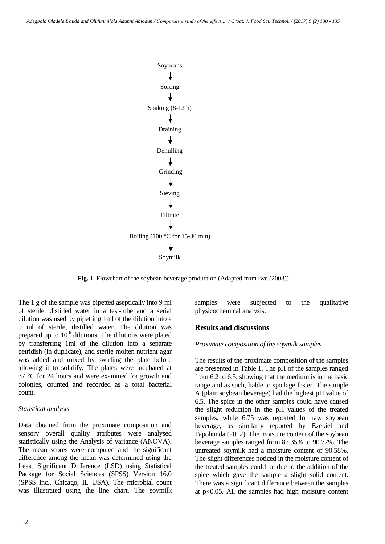

**Fig. 1.** Flowchart of the soybean beverage production (Adapted from Iwe (2003))

The 1 g of the sample was pipetted aseptically into 9 ml of sterile, distilled water in a test-tube and a serial dilution was used by pipetting 1ml of the dilution into a 9 ml of sterile, distilled water. The dilution was prepared up to  $10^{-6}$  dilutions. The dilutions were plated by transferring 1ml of the dilution into a separate petridish (in duplicate), and sterile molten nutrient agar was added and mixed by swirling the plate before allowing it to solidify. The plates were incubated at 37 °C for 24 hours and were examined for growth and colonies, counted and recorded as a total bacterial count.

### *Statistical analysis*

Data obtained from the proximate composition and sensory overall quality attributes were analysed statistically using the Analysis of variance (ANOVA). The mean scores were computed and the significant difference among the mean was determined using the Least Significant Difference (LSD) using Statistical Package for Social Sciences (SPSS) Version 16.0 (SPSS Inc., Chicago, IL USA). The microbial count was illustrated using the line chart. The soymilk samples were subjected to the qualitative physicochemical analysis.

# **Results and discussions**

### *Proximate composition of the soymilk samples*

The results of the proximate composition of the samples are presented in Table 1. The pH of the samples ranged from 6.2 to 6.5, showing that the medium is in the basic range and as such, liable to spoilage faster. The sample A (plain soybean beverage) had the highest pH value of 6.5. The spice in the other samples could have caused the slight reduction in the pH values of the treated samples, while 6.75 was reported for raw soybean beverage, as similarly reported by Ezekiel and Fapohunda (2012). The moisture content of the soybean beverage samples ranged from 87.35% to 90.77%. The untreated soymilk had a moisture content of 90.58%. The slight differences noticed in the moisture content of the treated samples could be due to the addition of the spice which gave the sample a slight solid content. There was a significant difference between the samples at  $p<0.05$ . All the samples had high moisture content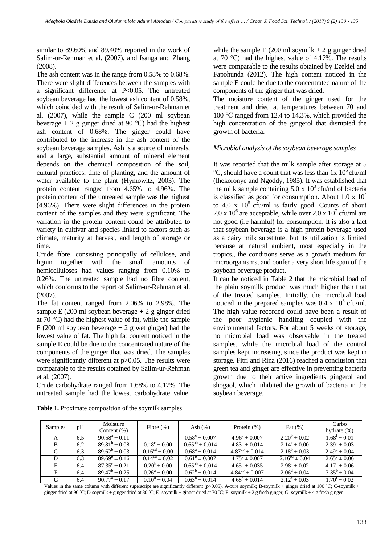similar to 89.60% and 89.40% reported in the work of Salim-ur-Rehman et al. (2007), and Isanga and Zhang (2008).

The ash content was in the range from 0.58% to 0.68%. There were slight differences between the samples with a significant difference at P<0.05. The untreated soybean beverage had the lowest ash content of 0.58%, which coincided with the result of Salim-ur-Rehman et al. (2007), while the sample C (200 ml soybean beverage + 2 g ginger dried at 90 °C) had the highest ash content of 0.68%. The ginger could have contributed to the increase in the ash content of the soybean beverage samples. Ash is a source of minerals, and a large, substantial amount of mineral element depends on the chemical composition of the soil, cultural practices, time of planting, and the amount of water available to the plant (Hymowitz, 2003). The protein content ranged from 4.65% to 4.96%. The protein content of the untreated sample was the highest (4.96%). There were slight differences in the protein content of the samples and they were significant. The variation in the protein content could be attributed to variety in cultivar and species linked to factors such as climate, maturity at harvest, and length of storage or time.

Crude fibre, consisting principally of cellulose, and lignin together with the small amounts of hemicelluloses had values ranging from 0.10% to 0.26%. The untreated sample had no fibre content, which conforms to the report of Salim-ur-Rehman et al. (2007).

The fat content ranged from 2.06% to 2.98%. The sample E (200 ml soybean beverage  $+ 2$  g ginger dried at 70 °C) had the highest value of fat, while the sample F (200 ml soybean beverage  $+ 2$  g wet ginger) had the lowest value of fat. The high fat content noticed in the sample E could be due to the concentrated nature of the components of the ginger that was dried. The samples were significantly different at  $p > 0.05$ . The results were comparable to the results obtained by Salim-ur-Rehman et al. (2007).

Crude carbohydrate ranged from 1.68% to 4.17%. The untreated sample had the lowest carbohydrate value,

**Table 1.** Proximate composition of the soymilk samples

while the sample E (200 ml soymilk  $+ 2$  g ginger dried at 70 °C) had the highest value of 4.17%. The results were comparable to the results obtained by Ezekiel and Fapohunda (2012). The high content noticed in the sample E could be due to the concentrated nature of the components of the ginger that was dried.

The moisture content of the ginger used for the treatment and dried at temperatures between 70 and 100 ℃ ranged from 12.4 to 14.3%, which provided the high concentration of the gingerol that disrupted the growth of bacteria.

# *Microbial analysis of the soybean beverage samples*

It was reported that the milk sample after storage at 5  $\degree$ C, should have a count that was less than 1x 10 $\degree$ cfu/ml (Ihekoronye and Ngoddy, 1985). It was established that the milk sample containing  $5.0 \times 10^3$  cfu/ml of bacteria is classified as good for consumption. About 1.0 x  $10<sup>4</sup>$ to  $4.0 \times 10^5$  cfu/ml is fairly good. Counts of about 2.0 x  $10^6$  are acceptable, while over 2.0 x  $10^7$  cfu/ml are not good (i.e harmful) for consumption. It is also a fact that soybean beverage is a high protein beverage used as a dairy milk substitute, but its utilization is limited because at natural ambient, most especially in the tropics,, the conditions serve as a growth medium for microorganisms, and confer a very short life span of the soybean beverage product.

It can be noticed in Table 2 that the microbial load of the plain soymilk product was much higher than that of the treated samples. Initially, the microbial load noticed in the prepared samples was  $0.4 \times 10^6$  cfu/ml. The high value recorded could have been a result of the poor hygienic handling coupled with the environmental factors. For about 5 weeks of storage, no microbial load was observable in the treated samples, while the microbial load of the control samples kept increasing, since the product was kept in storage. Fitri and Rina (2016) reached a conclusion that green tea and ginger are effective in preventing bacteria growth due to their active ingredients gingerol and shogaol, which inhibited the growth of bacteria in the soybean beverage.

| Samples | рH  | Moisture<br>Content $(\%)$ | Fibre $(\%)$                | Ash $(\%)$               | Protein $(\%)$           | Fat $(\%)$              | Carbo<br>hydrate $(\%)$ |
|---------|-----|----------------------------|-----------------------------|--------------------------|--------------------------|-------------------------|-------------------------|
| A       | 6.5 | $90.58^a \pm 0.11$         |                             | $0.58^{\circ} \pm 0.007$ | $4.96^a \pm 0.007$       | $2.20^{\circ} \pm 0.02$ | $1.68^t \pm 0.01$       |
| B       | 6.2 | $89.81^{b} \pm 0.08$       | $0.18^{\circ} \pm 0.00$     | $0.65^{ab} \pm 0.014$    | $4.83^{\circ} \pm 0.014$ | $2.14^{\circ} \pm 0.00$ | $2.39^e \pm 0.03$       |
| C       | 6.3 | $89.62^{\circ} \pm 0.03$   | $0.16^{cd} \pm 0.00$        | $0.68^a \pm 0.014$       | $4.87^{ab} \pm 0.014$    | $2.18^{\circ} \pm 0.03$ | $2.49^d \pm 0.04$       |
| D       | 6.3 | $89.69^{\circ} \pm 0.16$   | $0.14^{\text{cd}} \pm 0.02$ | $0.61^{\circ} \pm 0.007$ | $4.75^{\circ} \pm 0.007$ | $2.16^{bc} \pm 0.04$    | $2.65^{\circ} \pm 0.06$ |
| E       | 6.4 | $87.35^{\circ} \pm 0.21$   | $0.20^{\circ} \pm 0.00$     | $0.65^{ab} \pm 0.014$    | $4.65^{\circ} \pm 0.035$ | $2.98^a \pm 0.02$       | $4.17^a \pm 0.06$       |
| F       | 6.4 | $89.47^{\circ} \pm 0.25$   | $0.26^a \pm 0.00$           | $0.62^{\circ} \pm 0.014$ | $4.84^{ab} \pm 0.007$    | $2.06^{\circ} \pm 0.04$ | $3.35^b \pm 0.04$       |
| G       | 6.4 | $90.77^{\rm a} \pm 0.17$   | $0.10^d \pm 0.04$           | $0.63^{\circ} \pm 0.014$ | $4.68^{\rm d} \pm 0.014$ | $2.12^{\circ} \pm 0.03$ | $1.70^{\rm t} \pm 0.02$ |

Values in the same column with different superscript are significantly different (p>0.05). A-pure soymilk; B-soymilk + ginger dried at 100 °C; C-soymilk + ginger dried at 90 ˚C; D-soymilk + ginger dried at 80 ˚C; E-soymilk + ginger dried at 70 ˚C; F-soymilk + 2 g fresh ginger; G- soymilk + 4 g fresh ginger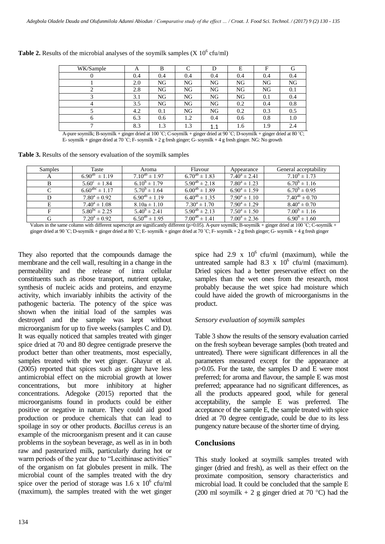| WK/Sample | A   | В   |     |          | E   | Е   |     |
|-----------|-----|-----|-----|----------|-----|-----|-----|
|           | 0.4 | 0.4 | 0.4 | 0.4      | 0.4 | 0.4 | 0.4 |
|           | 2.0 | NG  | NG  | NG       | NG  | NG  | NG  |
|           | 2.8 | NG  | NG  | NG       | NG  | NG  | 0.1 |
|           | 3.1 | NG  | NG  | NG       | NG  | 0.1 | 0.4 |
|           | 3.5 | NG  | NG  | NG       | 0.2 | 0.4 | 0.8 |
|           | 4.2 | 0.1 | NG  | NG       | 0.2 | 0.3 | 0.5 |
| O         | 6.3 | 0.6 | 1.2 | 0.4      | 0.6 | 0.8 | 1.0 |
| −         | 8.3 | 1.3 | 1.3 | 1<br>1.1 | 1.6 | 1.9 | 2.4 |

**Table 2.** Results of the microbial analyses of the soymilk samples  $(X 10^6 \text{ cfu/ml})$ 

A-pure soymilk; B-soymilk + ginger dried at 100 ˚C; C-soymilk + ginger dried at 90 ˚C; D-soymilk + ginger dried at 80 ˚C; E-soymilk + ginger dried at 70 °C; F-soymilk + 2 g fresh ginger; G-soymilk + 4 g fresh ginger. NG: No growth

**Table 3.** Results of the sensory evaluation of the soymilk samples

| Taste                   | Aroma                   | Flavour              | Appearance        | General acceptability |
|-------------------------|-------------------------|----------------------|-------------------|-----------------------|
| $6.90^{ab} \pm 1.19$    | $7.10^{ab} \pm 1.97$    | $6.70^{ab} \pm 1.83$ | $7.40^a \pm 2.41$ | $7.10^b \pm 1.73$     |
| $5.60^{\circ} \pm 1.84$ | $6.10^{b} \pm 1.79$     | $5.90^{ab} \pm 2.18$ | $7.80^a \pm 1.23$ | $6.70^b \pm 1.16$     |
| $6.60^{abc} \pm 1.17$   | $5.70^{\rm b} \pm 1.64$ | $6.00^{ab} \pm 1.89$ | $6.90^a \pm 1.59$ | $6.70^b \pm 0.95$     |
| $7.80^a \pm 0.92$       | $6.90^{ab} \pm 1.19$    | $6.40^{ab} \pm 1.35$ | $7.90^a \pm 1.10$ | $7.40^{ab} \pm 0.70$  |
| $7.40^a \pm 1.08$       | $8.10a \pm 1.10$        | $7.30^a \pm 1.70$    | $7.90^a \pm 1.29$ | $8.40^a \pm 0.70$     |
| $5.80^{bc} \pm 2.25$    | $5.40^b \pm 2.41$       | $5.90^{ab} \pm 2.13$ | $7.50^a \pm 1.50$ | $7.00^b \pm 1.16$     |
| $7.20^a \pm 0.92$       | $6.50^{ab} \pm 1.95$    | $7.00^{ab} \pm 1.41$ | $7.00^a \pm 2.36$ | $6.90^b \pm 1.60$     |
|                         |                         |                      |                   |                       |

Values in the same column with different superscript are significantly different  $(p>0.05)$ . A-pure soymilk; B-soymilk + ginger dried at 100 °C; C-soymilk + ginger dried at 90 ˚C; D-soymilk + ginger dried at 80 ˚C; E-soymilk + ginger dried at 70 ˚C; F-soymilk + 2 g fresh ginger; G- soymilk + 4 g fresh ginger

They also reported that the compounds damage the membrane and the cell wall, resulting in a change in the permeability and the release of intra cellular constituents such as ribose transport, nutrient uptake, synthesis of nucleic acids and proteins, and enzyme activity, which invariably inhibits the activity of the pathogenic bacteria. The potency of the spice was shown when the initial load of the samples was destroyed and the sample was kept without microorganism for up to five weeks (samples C and D). It was equally noticed that samples treated with ginger spice dried at 70 and 80 degree centigrade preserve the product better than other treatments, most especially, samples treated with the wet ginger. Ghayur et al. (2005) reported that spices such as ginger have less antimicrobial effect on the microbial growth at lower concentrations, but more inhibitory at higher concentrations. Adegoke (2015) reported that the microorganisms found in products could be either positive or negative in nature. They could aid good production or produce chemicals that can lead to spoilage in soy or other products. *Bacillus cereus* is an example of the microorganism present and it can cause problems in the soybean beverage, as well as in in both raw and pasteurized milk, particularly during hot or warm periods of the year due to "Lecithinase activities" of the organism on fat globules present in milk. The microbial count of the samples treated with the dry spice over the period of storage was  $1.6 \times 10^6$  cfu/ml (maximum), the samples treated with the wet ginger

spice had 2.9 x  $10^6$  cfu/ml (maximum), while the untreated sample had  $8.3 \times 10^6$  cfu/ml (maximum). Dried spices had a better preservative effect on the samples than the wet ones from the research, most probably because the wet spice had moisture which could have aided the growth of microorganisms in the product.

# *Sensory evaluation of soymilk samples*

Table 3 show the results of the sensory evaluation carried on the fresh soybean beverage samples (both treated and untreated). There were significant differences in all the parameters measured except for the appearance at p>0.05. For the taste, the samples D and E were most preferred; for aroma and flavour, the sample E was most preferred; appearance had no significant differences, as all the products appeared good, while for general acceptability, the sample E was preferred. The acceptance of the sample E, the sample treated with spice dried at 70 degree centigrade, could be due to its less pungency nature because of the shorter time of drying.

# **Conclusions**

This study looked at soymilk samples treated with ginger (dried and fresh), as well as their effect on the proximate composition, sensory characteristics and microbial load. It could be concluded that the sample E (200 ml soymilk + 2 g ginger dried at 70 °C) had the